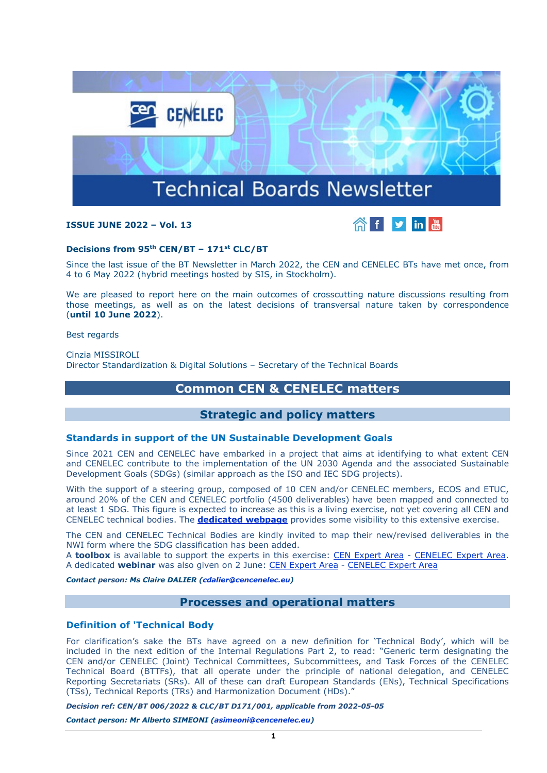

# **ISSUE JUNE 2022 – Vol. 13**



### **Decisions from 95th CEN/BT – 171st CLC/BT**

Since the last issue of the BT Newsletter in March 2022, the CEN and CENELEC BTs have met once, from 4 to 6 May 2022 (hybrid meetings hosted by SIS, in Stockholm).

We are pleased to report here on the main outcomes of crosscutting nature discussions resulting from those meetings, as well as on the latest decisions of transversal nature taken by correspondence (**until 10 June 2022**).

Best regards

Cinzia MISSIROLI Director Standardization & Digital Solutions – Secretary of the Technical Boards

# **Common CEN & CENELEC matters**

# **Strategic and policy matters**

#### **Standards in support of the UN Sustainable Development Goals**

Since 2021 CEN and CENELEC have embarked in a project that aims at identifying to what extent CEN and CENELEC contribute to the implementation of the UN 2030 Agenda and the associated Sustainable Development Goals (SDGs) (similar approach as the ISO and IEC SDG projects).

With the support of a steering group, composed of 10 CEN and/or CENELEC members, ECOS and ETUC, around 20% of the CEN and CENELEC portfolio (4500 deliverables) have been mapped and connected to at least 1 SDG. This figure is expected to increase as this is a living exercise, not yet covering all CEN and CENELEC technical bodies. The **[dedicated webpage](https://www.cencenelec.eu/european-standardization/sustainable-development-goals-sdgs/)** provides some visibility to this extensive exercise.

The CEN and CENELEC Technical Bodies are kindly invited to map their new/revised deliverables in the NWI form where the SDG classification has been added.

A **toolbox** is available to support the experts in this exercise: [CEN Expert Area](https://eur01.safelinks.protection.outlook.com/?url=https%3A%2F%2Fexperts.cen.eu%2Fnews%2F2022-02-28-un-sustainable-development-goals-sdg-toolbox%2F&data=05%7C01%7Cnpaquay%40cencenelec.eu%7Ca03d2fd301ab4e50917f08da50366f37%7Cccf5775126f1429c87578729c8e9e995%7C0%7C0%7C637910491957903482%7CUnknown%7CTWFpbGZsb3d8eyJWIjoiMC4wLjAwMDAiLCJQIjoiV2luMzIiLCJBTiI6Ik1haWwiLCJXVCI6Mn0%3D%7C3000%7C%7C%7C&sdata=MAzOmIhKfYhNKUtfEOaArGJKER8f3emnZAq%2FTLaA4OM%3D&reserved=0) - [CENELEC Expert Area.](https://eur01.safelinks.protection.outlook.com/?url=https%3A%2F%2Fexperts.cenelec.eu%2Fnews%2F2022-02-28-un-sustainable-development-goals-sdg-toolbox%2F&data=05%7C01%7Cnpaquay%40cencenelec.eu%7Ca03d2fd301ab4e50917f08da50366f37%7Cccf5775126f1429c87578729c8e9e995%7C0%7C0%7C637910491957903482%7CUnknown%7CTWFpbGZsb3d8eyJWIjoiMC4wLjAwMDAiLCJQIjoiV2luMzIiLCJBTiI6Ik1haWwiLCJXVCI6Mn0%3D%7C3000%7C%7C%7C&sdata=%2F2BvXH45nl5krHGopGz5L9oxYgjcc6P6twSRLw5N0iY%3D&reserved=0) A dedicated **webinar** was also given on 2 June: [CEN Expert Area](https://eur01.safelinks.protection.outlook.com/?url=https%3A%2F%2Fexperts.cen.eu%2Ftrainings-materials%2Fevents%2F2022%2F2022-06-02-webinar-sdgs%2F&data=05%7C01%7Cnpaquay%40cencenelec.eu%7Ca03d2fd301ab4e50917f08da50366f37%7Cccf5775126f1429c87578729c8e9e995%7C0%7C0%7C637910491957903482%7CUnknown%7CTWFpbGZsb3d8eyJWIjoiMC4wLjAwMDAiLCJQIjoiV2luMzIiLCJBTiI6Ik1haWwiLCJXVCI6Mn0%3D%7C3000%7C%7C%7C&sdata=sLFDZjqCbXi0a4uXc3dwtSqvGHO0DcI8%2BQPyGbc5HWw%3D&reserved=0) - [CENELEC Expert Area](https://eur01.safelinks.protection.outlook.com/?url=https%3A%2F%2Fexperts.cenelec.eu%2Ftrainings-materials%2Fevents%2F2022%2F2022-06-02-webinar-sdgs%2F&data=05%7C01%7Cnpaquay%40cencenelec.eu%7Ca03d2fd301ab4e50917f08da50366f37%7Cccf5775126f1429c87578729c8e9e995%7C0%7C0%7C637910491957903482%7CUnknown%7CTWFpbGZsb3d8eyJWIjoiMC4wLjAwMDAiLCJQIjoiV2luMzIiLCJBTiI6Ik1haWwiLCJXVCI6Mn0%3D%7C3000%7C%7C%7C&sdata=HC3kygP1%2FB%2FwKWQGRymr8poGOhWfCFEaIb2YnCkWS0E%3D&reserved=0)

*Contact person: Ms Claire DALIER [\(cdalier@cencenelec.eu\)](mailto:cdalier@cencenelec.eu)*

# **Processes and operational matters**

### **Definition of 'Technical Body**

For clarification's sake the BTs have agreed on a new definition for 'Technical Body', which will be included in the next edition of the Internal Regulations Part 2, to read: "Generic term designating the CEN and/or CENELEC (Joint) Technical Committees, Subcommittees, and Task Forces of the CENELEC Technical Board (BTTFs), that all operate under the principle of national delegation, and CENELEC Reporting Secretariats (SRs). All of these can draft European Standards (ENs), Technical Specifications (TSs), Technical Reports (TRs) and Harmonization Document (HDs)."

*Decision ref: CEN/BT 006/2022 & CLC/BT D171/001, applicable from 2022-05-05*

*Contact person: Mr Alberto SIMEONI [\(asimeoni@cencenelec.eu\)](mailto:asimeoni@cencenelec.eu)*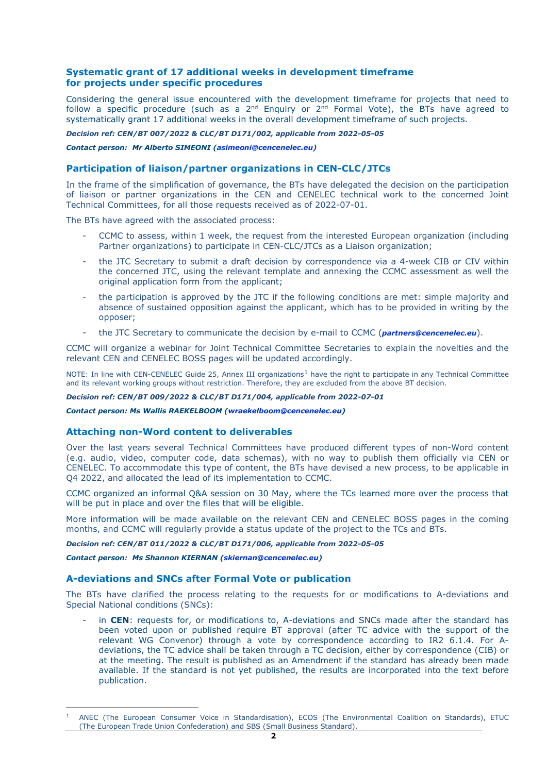# **Systematic grant of 17 additional weeks in development timeframe for projects under specific procedures**

Considering the general issue encountered with the development timeframe for projects that need to follow a specific procedure (such as a  $2^{nd}$  Enquiry or  $2^{nd}$  Formal Vote), the BTs have agreed to systematically grant 17 additional weeks in the overall development timeframe of such projects.

#### *Decision ref: CEN/BT 007/2022 & CLC/BT D171/002, applicable from 2022-05-05*

*Contact person: Mr Alberto SIMEONI [\(asimeoni@cencenelec.eu\)](mailto:asimeoni@cencenelec.eu)*

# **Participation of liaison/partner organizations in CEN-CLC/JTCs**

In the frame of the simplification of governance, the BTs have delegated the decision on the participation of liaison or partner organizations in the CEN and CENELEC technical work to the concerned Joint Technical Committees, for all those requests received as of 2022-07-01.

The BTs have agreed with the associated process:

- CCMC to assess, within 1 week, the request from the interested European organization (including Partner organizations) to participate in CEN-CLC/JTCs as a Liaison organization;
- the JTC Secretary to submit a draft decision by correspondence via a 4-week CIB or CIV within the concerned JTC, using the relevant template and annexing the CCMC assessment as well the original application form from the applicant;
- the participation is approved by the JTC if the following conditions are met: simple majority and absence of sustained opposition against the applicant, which has to be provided in writing by the opposer;
- the JTC Secretary to communicate the decision by e-mail to CCMC (*[partners@cencenelec.eu](mailto:partners@cencenelec.eu)*).

CCMC will organize a webinar for Joint Technical Committee Secretaries to explain the novelties and the relevant CEN and CENELEC BOSS pages will be updated accordingly.

NOTE: In line with CEN-CENELEC Guide 25, Annex III organizations<sup>[1](#page-1-0)</sup> have the right to participate in any Technical Committee and its relevant working groups without restriction. Therefore, they are excluded from the above BT decision.

#### *Decision ref: CEN/BT 009/2022 & CLC/BT D171/004, applicable from 2022-07-01*

*Contact person: Ms Wallis RAEKELBOOM [\(wraekelboom@cencenelec.eu\)](mailto:wraekelboom@cencenelec.eu)*

### **Attaching non-Word content to deliverables**

Over the last years several Technical Committees have produced different types of non-Word content (e.g. audio, video, computer code, data schemas), with no way to publish them officially via CEN or CENELEC. To accommodate this type of content, the BTs have devised a new process, to be applicable in Q4 2022, and allocated the lead of its implementation to CCMC.

CCMC organized an informal Q&A session on 30 May, where the TCs learned more over the process that will be put in place and over the files that will be eligible.

More information will be made available on the relevant CEN and CENELEC BOSS pages in the coming months, and CCMC will regularly provide a status update of the project to the TCs and BTs.

### *Decision ref: CEN/BT 011/2022 & CLC/BT D171/006, applicable from 2022-05-05*

*Contact person: Ms Shannon KIERNAN [\(skiernan@cencenelec.eu\)](mailto:skiernan@cencenelec.eu)*

### **A-deviations and SNCs after Formal Vote or publication**

The BTs have clarified the process relating to the requests for or modifications to A-deviations and Special National conditions (SNCs):

in CEN: requests for, or modifications to, A-deviations and SNCs made after the standard has been voted upon or published require BT approval (after TC advice with the support of the relevant WG Convenor) through a vote by correspondence according to IR2 6.1.4. For Adeviations, the TC advice shall be taken through a TC decision, either by correspondence (CIB) or at the meeting. The result is published as an Amendment if the standard has already been made available. If the standard is not yet published, the results are incorporated into the text before publication.

<span id="page-1-0"></span><sup>1</sup> ANEC (The European Consumer Voice in Standardisation), ECOS (The Environmental Coalition on Standards), ETUC (The European Trade Union Confederation) and SBS (Small Business Standard).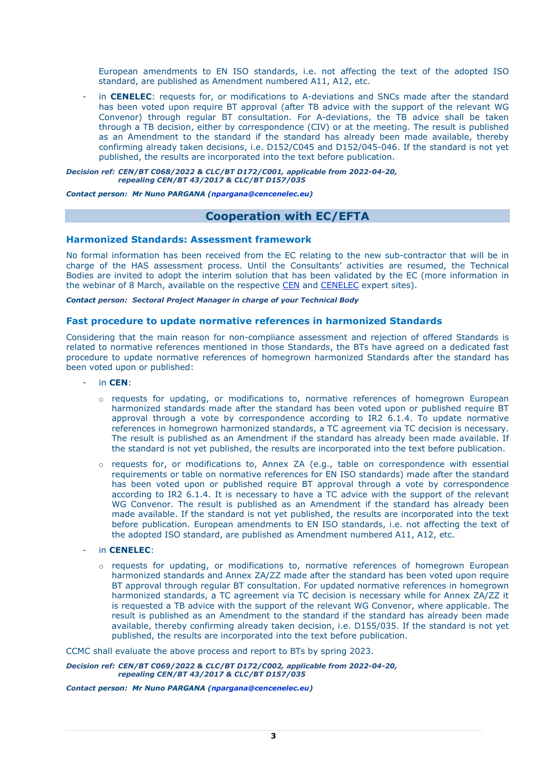European amendments to EN ISO standards, i.e. not affecting the text of the adopted ISO standard, are published as Amendment numbered A11, A12, etc.

in **CENELEC**: requests for, or modifications to A-deviations and SNCs made after the standard has been voted upon require BT approval (after TB advice with the support of the relevant WG Convenor) through regular BT consultation. For A-deviations, the TB advice shall be taken through a TB decision, either by correspondence (CIV) or at the meeting. The result is published as an Amendment to the standard if the standard has already been made available, thereby confirming already taken decisions, i.e. D152/C045 and D152/045-046. If the standard is not yet published, the results are incorporated into the text before publication.

*Decision ref: CEN/BT C068/2022 & CLC/BT D172/C001, applicable from 2022-04-20, repealing CEN/BT 43/2017 & CLC/BT D157/035*

*Contact person: Mr Nuno PARGANA [\(npargana@cencenelec.eu\)](mailto:npargana@cencenelec.eu)*

# **Cooperation with EC/EFTA**

#### **Harmonized Standards: Assessment framework**

No formal information has been received from the EC relating to the new sub-contractor that will be in charge of the HAS assessment process. Until the Consultants' activities are resumed, the Technical Bodies are invited to adopt the interim solution that has been validated by the EC (more information in the webinar of 8 March, available on the respective [CEN](https://eur01.safelinks.protection.outlook.com/?url=https%3A%2F%2Fexperts.cen.eu%2Ftrainings-materials%2Fevents%2F2022%2F2022-03-08-webinar-update-has-system%2F&data=04%7C01%7Cnpaquay%40cencenelec.eu%7Ce8dc2e30f8a4487d2d2a08da00fe8c95%7Cccf5775126f1429c87578729c8e9e995%7C0%7C0%7C637823390683112775%7CUnknown%7CTWFpbGZsb3d8eyJWIjoiMC4wLjAwMDAiLCJQIjoiV2luMzIiLCJBTiI6Ik1haWwiLCJXVCI6Mn0%3D%7C3000&sdata=wwc2zsfLRzNzn3xIUm5PJqn8Goo0pHM%2F%2BsvpO5eQqxo%3D&reserved=0) and [CENELEC](https://eur01.safelinks.protection.outlook.com/?url=https%3A%2F%2Fexperts.cenelec.eu%2Ftrainings-materials%2Fevents%2F2022%2F2022-03-08-webinar-update-has-system%2F&data=04%7C01%7Cnpaquay%40cencenelec.eu%7Ce8dc2e30f8a4487d2d2a08da00fe8c95%7Cccf5775126f1429c87578729c8e9e995%7C0%7C0%7C637823390683112775%7CUnknown%7CTWFpbGZsb3d8eyJWIjoiMC4wLjAwMDAiLCJQIjoiV2luMzIiLCJBTiI6Ik1haWwiLCJXVCI6Mn0%3D%7C3000&sdata=Vz4FrQNglBmsv5ltY1DiVJWg2%2FT6z9nu%2FI82n72I%2BUY%3D&reserved=0) expert sites).

*Contact person: Sectoral Project Manager in charge of your Technical Body*

#### **Fast procedure to update normative references in harmonized Standards**

Considering that the main reason for non-compliance assessment and rejection of offered Standards is related to normative references mentioned in those Standards, the BTs have agreed on a dedicated fast procedure to update normative references of homegrown harmonized Standards after the standard has been voted upon or published:

- in **CEN**:
	- o requests for updating, or modifications to, normative references of homegrown European harmonized standards made after the standard has been voted upon or published require BT approval through a vote by correspondence according to IR2 6.1.4. To update normative references in homegrown harmonized standards, a TC agreement via TC decision is necessary. The result is published as an Amendment if the standard has already been made available. If the standard is not yet published, the results are incorporated into the text before publication.
	- o requests for, or modifications to, Annex ZA (e.g., table on correspondence with essential requirements or table on normative references for EN ISO standards) made after the standard has been voted upon or published require BT approval through a vote by correspondence according to IR2 6.1.4. It is necessary to have a TC advice with the support of the relevant WG Convenor. The result is published as an Amendment if the standard has already been made available. If the standard is not yet published, the results are incorporated into the text before publication. European amendments to EN ISO standards, i.e. not affecting the text of the adopted ISO standard, are published as Amendment numbered A11, A12, etc.
- in **CENELEC**:
	- o requests for updating, or modifications to, normative references of homegrown European harmonized standards and Annex ZA/ZZ made after the standard has been voted upon require BT approval through regular BT consultation. For updated normative references in homegrown harmonized standards, a TC agreement via TC decision is necessary while for Annex ZA/ZZ it is requested a TB advice with the support of the relevant WG Convenor, where applicable. The result is published as an Amendment to the standard if the standard has already been made available, thereby confirming already taken decision, i.e. D155/035. If the standard is not yet published, the results are incorporated into the text before publication.

CCMC shall evaluate the above process and report to BTs by spring 2023.

*Decision ref: CEN/BT C069/2022 & CLC/BT D172/C002, applicable from 2022-04-20, repealing CEN/BT 43/2017 & CLC/BT D157/035*

#### *Contact person: Mr Nuno PARGANA [\(npargana@cencenelec.eu\)](mailto:npargana@cencenelec.eu)*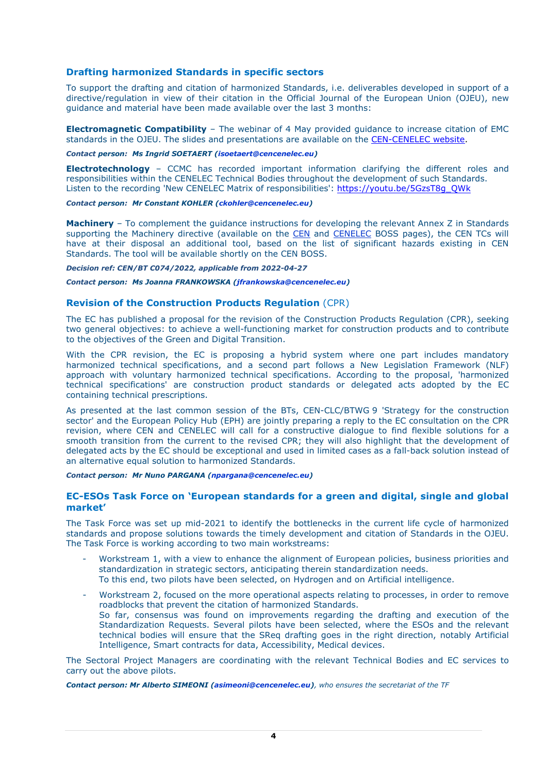# **Drafting harmonized Standards in specific sectors**

To support the drafting and citation of harmonized Standards, i.e. deliverables developed in support of a directive/regulation in view of their citation in the Official Journal of the European Union (OJEU), new guidance and material have been made available over the last 3 months:

**Electromagnetic Compatibility** – The webinar of 4 May provided guidance to increase citation of EMC standards in the OJEU. The slides and presentations are available on the CEN-CENELEC website.

#### *Contact person: Ms Ingrid SOETAERT [\(isoetaert@cencenelec.eu\)](mailto:isoetaert@cencenelec.eu)*

**Electrotechnology** – CCMC has recorded important information clarifying the different roles and responsibilities within the CENELEC Technical Bodies throughout the development of such Standards. Listen to the recording 'New CENELEC Matrix of responsibilities': [https://youtu.be/5GzsT8g\\_QWk](https://youtu.be/5GzsT8g_QWk)

#### *Contact person: Mr Constant KOHLER [\(ckohler@cencenelec.eu\)](mailto:ckohler@cencenelec.eu)*

**Machinery** – To complement the guidance instructions for developing the relevant Annex Z in Standards supporting the Machinery directive (available on the [CEN](https://eur01.safelinks.protection.outlook.com/?url=https%3A%2F%2Fboss.cen.eu%2Fmedia%2FBOSS%2520CEN%2Fref%2Fannexz_machinery_instructions.pdf&data=04%7C01%7Cnpaquay%40cencenelec.eu%7C420e9a8e1d7845a52b2e08da1318de78%7Cccf5775126f1429c87578729c8e9e995%7C0%7C0%7C637843294767810833%7CUnknown%7CTWFpbGZsb3d8eyJWIjoiMC4wLjAwMDAiLCJQIjoiV2luMzIiLCJBTiI6Ik1haWwiLCJXVCI6Mn0%3D%7C3000&sdata=vLTkU%2BM4Cqoit%2BwD0SL18LlIGD1G5Kqs66apzdkADZY%3D&reserved=0) and [CENELEC](https://eur01.safelinks.protection.outlook.com/?url=https%3A%2F%2Fboss.cenelec.eu%2Fmedia%2FBOSS%2520CENELEC%2Fref%2Fannexz_machinery_instructions.pdf&data=04%7C01%7Cnpaquay%40cencenelec.eu%7C420e9a8e1d7845a52b2e08da1318de78%7Cccf5775126f1429c87578729c8e9e995%7C0%7C0%7C637843294767810833%7CUnknown%7CTWFpbGZsb3d8eyJWIjoiMC4wLjAwMDAiLCJQIjoiV2luMzIiLCJBTiI6Ik1haWwiLCJXVCI6Mn0%3D%7C3000&sdata=qPg%2BURsTgNOTHPVw5tnbW4JWhfJvFWVOo%2BgGdXwjuf8%3D&reserved=0) BOSS pages), the CEN TCs will have at their disposal an additional tool, based on the list of significant hazards existing in CEN Standards. The tool will be available shortly on the CEN BOSS.

# *Decision ref: CEN/BT C074/2022, applicable from 2022-04-27*

# *Contact person: Ms Joanna FRANKOWSKA [\(jfrankowska@cencenelec.eu\)](mailto:jfrankowska@cencenelec.eu)*

# **Revision of the Construction Products Regulation** (CPR)

The EC has published a proposal for the revision of the Construction Products Regulation (CPR), seeking two general objectives: to achieve a well-functioning market for construction products and to contribute to the objectives of the Green and Digital Transition.

With the CPR revision, the EC is proposing a hybrid system where one part includes mandatory harmonized technical specifications, and a second part follows a New Legislation Framework (NLF) approach with voluntary harmonized technical specifications. According to the proposal, 'harmonized technical specifications' are construction product standards or delegated acts adopted by the EC containing technical prescriptions.

As presented at the last common session of the BTs, CEN-CLC/BTWG 9 'Strategy for the construction sector' and the European Policy Hub (EPH) are jointly preparing a reply to the EC consultation on the CPR revision, where CEN and CENELEC will call for a constructive dialogue to find flexible solutions for a smooth transition from the current to the revised CPR; they will also highlight that the development of delegated acts by the EC should be exceptional and used in limited cases as a fall-back solution instead of an alternative equal solution to harmonized Standards.

#### *Contact person: Mr Nuno PARGANA [\(npargana@cencenelec.eu\)](mailto:npargana@cencenelec.eu)*

# **EC-ESOs Task Force on 'European standards for a green and digital, single and global market'**

The Task Force was set up mid-2021 to identify the bottlenecks in the current life cycle of harmonized standards and propose solutions towards the timely development and citation of Standards in the OJEU. The Task Force is working according to two main workstreams:

- Workstream 1, with a view to enhance the alignment of European policies, business priorities and standardization in strategic sectors, anticipating therein standardization needs. To this end, two pilots have been selected, on Hydrogen and on Artificial intelligence.
- Workstream 2, focused on the more operational aspects relating to processes, in order to remove roadblocks that prevent the citation of harmonized Standards. So far, consensus was found on improvements regarding the drafting and execution of the Standardization Requests. Several pilots have been selected, where the ESOs and the relevant technical bodies will ensure that the SReq drafting goes in the right direction, notably Artificial Intelligence, Smart contracts for data, Accessibility, Medical devices.

The Sectoral Project Managers are coordinating with the relevant Technical Bodies and EC services to carry out the above pilots.

*Contact person: Mr Alberto SIMEONI [\(asimeoni@cencenelec.eu\)](mailto:asimeoni@cencenelec.eu), who ensures the secretariat of the TF*